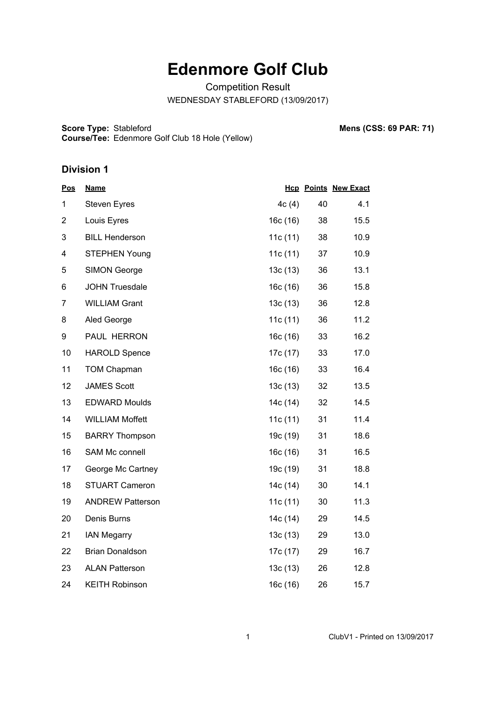## **Edenmore Golf Club**

Competition Result WEDNESDAY STABLEFORD (13/09/2017)

**Score Type: Course/Tee:** Stableford **Mens (CSS: 69 PAR: 71)** Edenmore Golf Club 18 Hole (Yellow)

## **Division 1**

| <b>Pos</b>     | <b>Name</b>             |            |    | <b>Hcp Points New Exact</b> |
|----------------|-------------------------|------------|----|-----------------------------|
| $\mathbf{1}$   | <b>Steven Eyres</b>     | 4c(4)      | 40 | 4.1                         |
| $\overline{2}$ | Louis Eyres             | 16c (16)   | 38 | 15.5                        |
| 3              | <b>BILL Henderson</b>   | 11c(11)    | 38 | 10.9                        |
| 4              | <b>STEPHEN Young</b>    | 11c(11)    | 37 | 10.9                        |
| 5              | <b>SIMON George</b>     | 13c(13)    | 36 | 13.1                        |
| 6              | <b>JOHN Truesdale</b>   | 16c (16)   | 36 | 15.8                        |
| $\overline{7}$ | <b>WILLIAM Grant</b>    | 13c(13)    | 36 | 12.8                        |
| 8              | Aled George             | 11c $(11)$ | 36 | 11.2                        |
| 9              | PAUL HERRON             | 16c (16)   | 33 | 16.2                        |
| 10             | <b>HAROLD Spence</b>    | 17c (17)   | 33 | 17.0                        |
| 11             | <b>TOM Chapman</b>      | 16c (16)   | 33 | 16.4                        |
| 12             | <b>JAMES Scott</b>      | 13c(13)    | 32 | 13.5                        |
| 13             | <b>EDWARD Moulds</b>    | 14c (14)   | 32 | 14.5                        |
| 14             | <b>WILLIAM Moffett</b>  | 11c(11)    | 31 | 11.4                        |
| 15             | <b>BARRY Thompson</b>   | 19c (19)   | 31 | 18.6                        |
| 16             | <b>SAM Mc connell</b>   | 16c(16)    | 31 | 16.5                        |
| 17             | George Mc Cartney       | 19c (19)   | 31 | 18.8                        |
| 18             | <b>STUART Cameron</b>   | 14c (14)   | 30 | 14.1                        |
| 19             | <b>ANDREW Patterson</b> | 11c(11)    | 30 | 11.3                        |
| 20             | Denis Burns             | 14c (14)   | 29 | 14.5                        |
| 21             | <b>IAN Megarry</b>      | 13c(13)    | 29 | 13.0                        |
| 22             | <b>Brian Donaldson</b>  | 17c (17)   | 29 | 16.7                        |
| 23             | <b>ALAN Patterson</b>   | 13c(13)    | 26 | 12.8                        |
| 24             | <b>KEITH Robinson</b>   | 16c (16)   | 26 | 15.7                        |